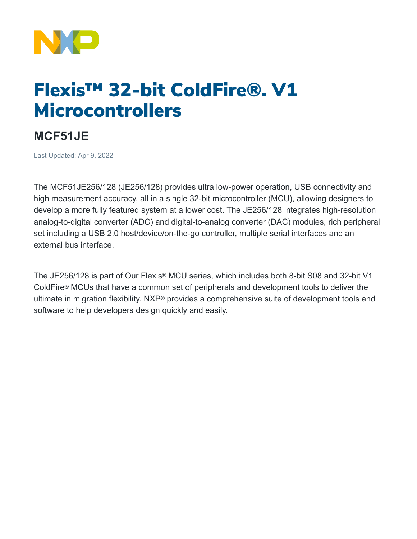

## Flexis™ 32-bit ColdFire®. V1 Microcontrollers

## **MCF51JE**

Last Updated: Apr 9, 2022

The MCF51JE256/128 (JE256/128) provides ultra low-power operation, USB connectivity and high measurement accuracy, all in a single 32-bit microcontroller (MCU), allowing designers to develop a more fully featured system at a lower cost. The JE256/128 integrates high-resolution analog-to-digital converter (ADC) and digital-to-analog converter (DAC) modules, rich peripheral set including a USB 2.0 host/device/on-the-go controller, multiple serial interfaces and an external bus interface.

The JE256/128 is part of Our Flexis® MCU series, which includes both 8-bit S08 and 32-bit V1 ColdFire® MCUs that have a common set of peripherals and development tools to deliver the ultimate in migration flexibility. NXP® provides a comprehensive suite of development tools and software to help developers design quickly and easily.